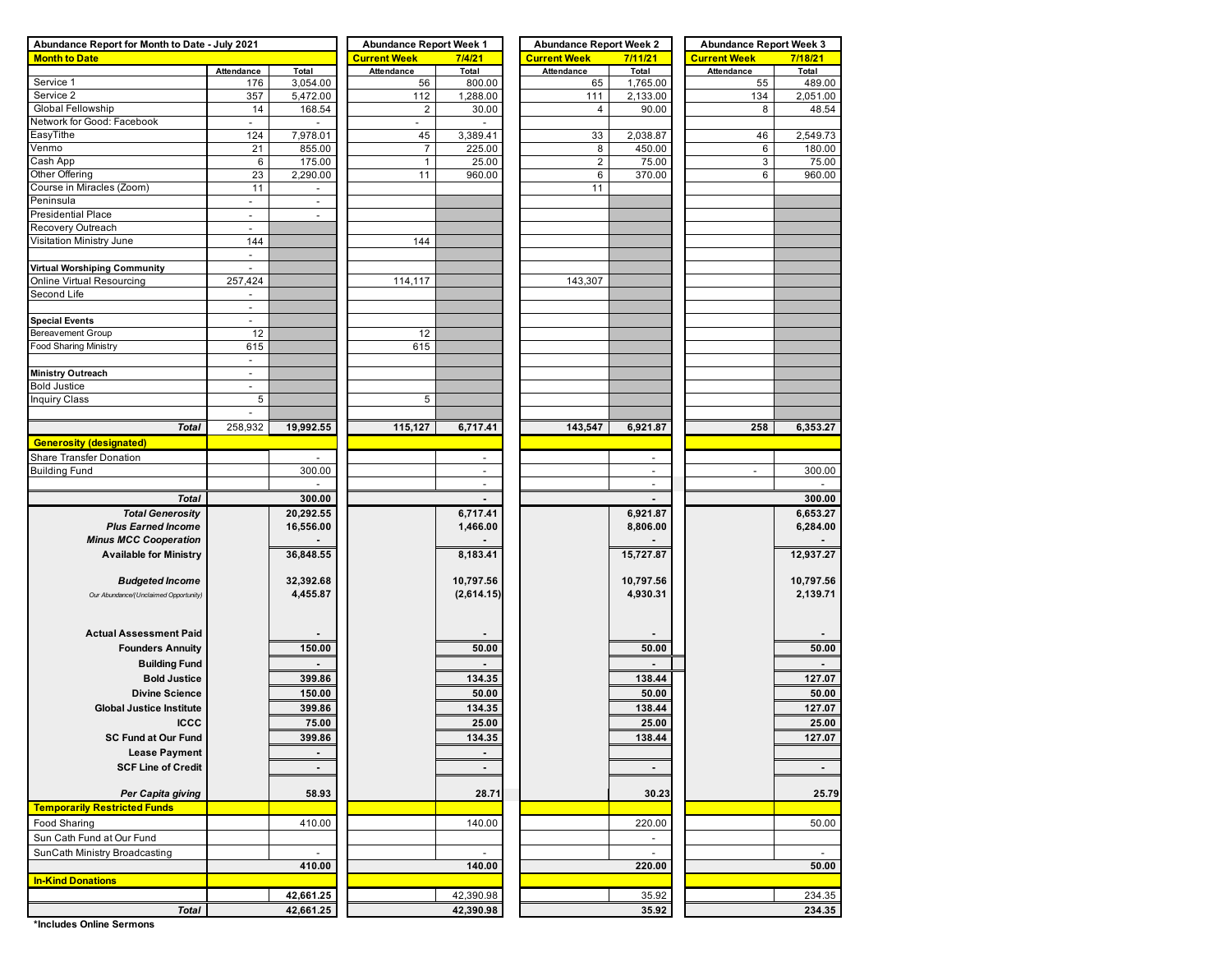| Abundance Report for Month to Date - July 2021 | <b>Abundance Report Week 1</b> |                          | <b>Abundance Report Week 2</b> |                | <b>Abundance Report Week 3</b> |                |                          |           |  |
|------------------------------------------------|--------------------------------|--------------------------|--------------------------------|----------------|--------------------------------|----------------|--------------------------|-----------|--|
| <b>Month to Date</b>                           |                                |                          | <b>Current Week</b>            | 7/4/21         | <b>Current Week</b>            | 7/11/21        | <b>Current Week</b>      | 7/18/21   |  |
|                                                | Attendance                     | Total                    | Attendance                     | Total          | Attendance                     | Total          | Attendance               | Total     |  |
| Service 1                                      | 176                            | 3,054.00                 | 56                             | 800.00         | 65                             | 1,765.00       | 55                       | 489.00    |  |
| Service 2                                      | 357                            | 5,472.00                 | 112                            | 1,288.00       | 111                            | 2,133.00       | 134                      | 2,051.00  |  |
| Global Fellowship                              | 14                             | 168.54                   | $\overline{2}$                 | 30.00          | 4                              | 90.00          | 8                        | 48.54     |  |
| Network for Good: Facebook                     | $\overline{\phantom{a}}$       |                          | $\blacksquare$                 |                |                                |                |                          |           |  |
| EasyTithe                                      | 124                            | 7,978.01                 | 45                             | 3,389.41       | 33                             | 2,038.87       | 46                       | 2,549.73  |  |
| Venmo                                          | 21                             | 855.00                   | $\overline{7}$                 | 225.00         | 8                              | 450.00         | 6                        | 180.00    |  |
| Cash App                                       | $\,6$                          | 175.00                   | $\mathbf{1}$                   | 25.00          | $\sqrt{2}$                     | 75.00          | 3                        | 75.00     |  |
| Other Offering                                 | 23                             | 2,290.00                 | 11                             | 960.00         | 6                              | 370.00         | 6                        | 960.00    |  |
| Course in Miracles (Zoom)                      | 11                             | $\overline{\phantom{a}}$ |                                |                | 11                             |                |                          |           |  |
| Peninsula                                      | $\overline{\phantom{a}}$       | $\overline{\phantom{a}}$ |                                |                |                                |                |                          |           |  |
| <b>Presidential Place</b>                      | $\overline{\phantom{a}}$       | $\blacksquare$           |                                |                |                                |                |                          |           |  |
| Recovery Outreach                              | ÷,                             |                          |                                |                |                                |                |                          |           |  |
| Visitation Ministry June                       | 144                            |                          | 144                            |                |                                |                |                          |           |  |
|                                                | $\overline{\phantom{a}}$       |                          |                                |                |                                |                |                          |           |  |
| Virtual Worshiping Community                   | $\overline{\phantom{a}}$       |                          |                                |                |                                |                |                          |           |  |
| Online Virtual Resourcing                      | 257,424                        |                          | 114,117                        |                | 143,307                        |                |                          |           |  |
| Second Life                                    |                                |                          |                                |                |                                |                |                          |           |  |
|                                                | $\blacksquare$                 |                          |                                |                |                                |                |                          |           |  |
| <b>Special Events</b>                          | $\blacksquare$                 |                          |                                |                |                                |                |                          |           |  |
| Bereavement Group                              | 12                             |                          | 12                             |                |                                |                |                          |           |  |
| Food Sharing Ministry                          | 615                            |                          | 615                            |                |                                |                |                          |           |  |
|                                                | $\overline{\phantom{a}}$       |                          |                                |                |                                |                |                          |           |  |
| Ministry Outreach                              | ÷                              |                          |                                |                |                                |                |                          |           |  |
| <b>Bold Justice</b>                            | $\sim$                         |                          |                                |                |                                |                |                          |           |  |
| <b>Inquiry Class</b>                           | 5                              |                          | 5                              |                |                                |                |                          |           |  |
|                                                | $\overline{\phantom{a}}$       |                          |                                |                |                                |                |                          |           |  |
| <b>Total</b>                                   | 258,932                        | 19,992.55                | 115,127                        | 6,717.41       | 143,547                        | 6,921.87       | 258                      | 6,353.27  |  |
| <b>Generosity (designated)</b>                 |                                |                          |                                |                |                                |                |                          |           |  |
| Share Transfer Donation                        |                                |                          |                                |                |                                |                |                          |           |  |
| <b>Building Fund</b>                           |                                | 300.00                   |                                | $\blacksquare$ |                                | $\overline{a}$ | $\overline{\phantom{a}}$ | 300.00    |  |
|                                                |                                |                          |                                | $\blacksquare$ |                                |                |                          |           |  |
| <b>Total</b>                                   |                                |                          |                                |                |                                |                |                          |           |  |
|                                                |                                | 300.00                   |                                |                |                                |                |                          | 300.00    |  |
| <b>Total Generosity</b>                        |                                | 20,292.55                |                                | 6,717.41       |                                | 6,921.87       |                          | 6,653.27  |  |
| <b>Plus Earned Income</b>                      |                                | 16,556.00                |                                | 1,466.00       |                                | 8,806.00       |                          | 6,284.00  |  |
| <b>Minus MCC Cooperation</b>                   |                                |                          |                                |                |                                |                |                          |           |  |
| <b>Available for Ministry</b>                  |                                | 36,848.55                |                                | 8,183.41       |                                | 15,727.87      |                          | 12,937.27 |  |
|                                                |                                |                          |                                |                |                                |                |                          |           |  |
| <b>Budgeted Income</b>                         |                                | 32,392.68                |                                | 10,797.56      |                                | 10,797.56      |                          | 10,797.56 |  |
| Our Abundance/(Unclaimed Opportunity)          |                                | 4,455.87                 |                                | (2,614.15)     |                                | 4,930.31       |                          | 2,139.71  |  |
|                                                |                                |                          |                                |                |                                |                |                          |           |  |
|                                                |                                |                          |                                |                |                                |                |                          |           |  |
| <b>Actual Assessment Paid</b>                  |                                |                          |                                |                |                                |                |                          |           |  |
| <b>Founders Annuity</b>                        |                                | 150.00                   |                                | 50.00          |                                | 50.00          |                          | 50.00     |  |
| <b>Building Fund</b>                           |                                |                          |                                |                |                                |                |                          |           |  |
| <b>Bold Justice</b>                            |                                | 399.86                   |                                | 134.35         |                                | 138.44         |                          | 127.07    |  |
| <b>Divine Science</b>                          |                                | 150.00                   |                                | 50.00          |                                | 50.00          |                          | 50.00     |  |
| <b>Global Justice Institute</b>                |                                | 399.86                   |                                | 134.35         |                                | 138.44         |                          | 127.07    |  |
|                                                |                                |                          |                                | 25.00          |                                | 25.00          |                          |           |  |
| <b>ICCC</b>                                    |                                | 75.00                    |                                |                |                                |                |                          | 25.00     |  |
| <b>SC Fund at Our Fund</b>                     |                                | 399.86                   |                                | 134.35         |                                | 138.44         |                          | 127.07    |  |
| <b>Lease Payment</b>                           |                                | $\blacksquare$           |                                | ۰              |                                |                |                          |           |  |
| <b>SCF Line of Credit</b>                      |                                | $\blacksquare$           |                                | $\blacksquare$ |                                | $\blacksquare$ |                          | $\sim$    |  |
|                                                |                                |                          |                                |                |                                |                |                          |           |  |
| Per Capita giving                              |                                | 58.93                    |                                | 28.71          |                                | 30.23          |                          | 25.79     |  |
| <b>Temporarily Restricted Funds</b>            |                                |                          |                                |                |                                |                |                          |           |  |
| Food Sharing                                   |                                | 410.00                   |                                | 140.00         |                                | 220.00         |                          | 50.00     |  |
| Sun Cath Fund at Our Fund                      |                                |                          |                                |                |                                | $\blacksquare$ |                          |           |  |
| SunCath Ministry Broadcasting                  |                                | $\sim$                   |                                | $\overline{a}$ |                                | $\mathcal{L}$  |                          | $\sim$    |  |
|                                                |                                | 410.00                   |                                | 140.00         |                                | 220.00         |                          | 50.00     |  |
| <b>In-Kind Donations</b>                       |                                |                          |                                |                |                                |                |                          |           |  |
|                                                |                                |                          |                                |                |                                |                |                          |           |  |
|                                                |                                | 42,661.25                |                                | 42,390.98      |                                | 35.92          |                          | 234.35    |  |
| <b>Total</b>                                   |                                | 42,661.25                |                                | 42,390.98      |                                | 35.92          |                          | 234.35    |  |

**\*Includes Online Sermons**